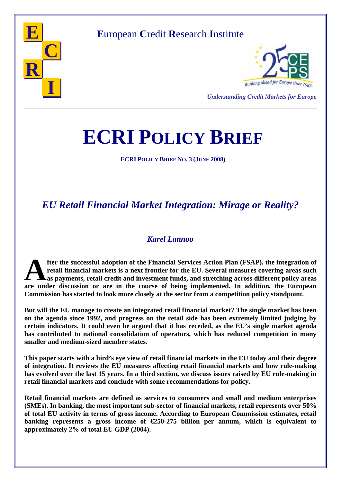

## **E**uropean **C**redit **R**esearch **I**nstitute



*Understanding Credit Markets for Europe* 

# **ECRI POLICY BRIEF**

**ECRI POLICY BRIEF NO. 3 (JUNE 2008)**

# *EU Retail Financial Market Integration: Mirage or Reality?*

#### *Karel Lannoo*

**fter the successful adoption of the Financial Services Action Plan (FSAP), the integration of retail financial markets is a next frontier for the EU. Several measures covering areas such as payments, retail credit and investment funds, and stretching across different policy areas 4 are under discussion** or are in the course of being implemented. In addition, the European are under discussion or are in the course of being implemented. In addition, the European **Commission has started to look more closely at the sector from a competition policy standpoint.** 

**But will the EU manage to create an integrated retail financial market? The single market has been on the agenda since 1992, and progress on the retail side has been extremely limited judging by certain indicators. It could even be argued that it has receded, as the EU's single market agenda has contributed to national consolidation of operators, which has reduced competition in many smaller and medium-sized member states.** 

**This paper starts with a bird's eye view of retail financial markets in the EU today and their degree of integration. It reviews the EU measures affecting retail financial markets and how rule-making has evolved over the last 15 years. In a third section, we discuss issues raised by EU rule-making in retail financial markets and conclude with some recommendations for policy.** 

**Retail financial markets are defined as services to consumers and small and medium enterprises (SMEs). In banking, the most important sub-sector of financial markets, retail represents over 50% of total EU activity in terms of gross income. According to European Commission estimates, retail banking represents a gross income of €250-275 billion per annum, which is equivalent to approximately 2% of total EU GDP (2004).**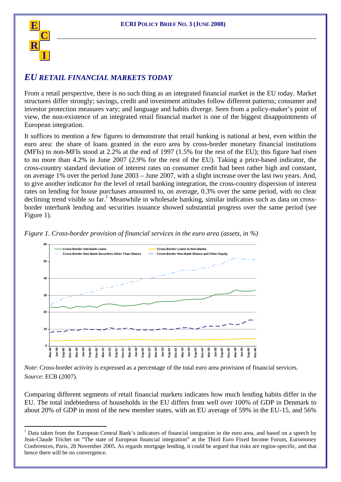

 $\overline{a}$ 

#### *EU RETAIL FINANCIAL MARKETS TODAY*

From a retail perspective, there is no such thing as an integrated financial market in the EU today. Market structures differ strongly; savings, credit and investment attitudes follow different patterns; consumer and investor protection measures vary; and language and habits diverge. Seen from a policy-maker's point of view, the non-existence of an integrated retail financial market is one of the biggest disappointments of European integration.

It suffices to mention a few figures to demonstrate that retail banking is national at best, even within the euro area: the share of loans granted in the euro area by cross-border monetary financial institutions (MFIs) to non-MFIs stood at 2.2% at the end of 1997 (1.5% for the rest of the EU); this figure had risen to no more than 4.2% in June 2007 (2.9% for the rest of the EU). Taking a price-based indicator, the cross-country standard deviation of interest rates on consumer credit had been rather high and constant, on average 1% over the period June 2003 – June 2007, with a slight increase over the last two years. And, to give another indicator for the level of retail banking integration, the cross-country dispersion of interest rates on lending for house purchases amounted to, on average, 0.3% over the same period, with no clear declining trend visible so far.<sup>1</sup> Meanwhile in wholesale banking, similar indicators such as data on crossborder interbank lending and securities issuance showed substantial progress over the same period (see Figure 1).



*Figure 1. Cross-border provision of financial services in the euro area (assets, in %)* 

*Note*: Cross-border activity is expressed as a percentage of the total euro area provision of financial services. *Source*: ECB (2007).

Comparing different segments of retail financial markets indicates how much lending habits differ in the EU. The total indebtedness of households in the EU differs from well over 100% of GDP in Denmark to about 20% of GDP in most of the new member states, with an EU average of 59% in the EU-15, and 56%

<sup>&</sup>lt;sup>1</sup> Data taken from the European Central Bank's indicators of financial integration in the euro area, and based on a speech by Jean-Claude Trichet on "The state of European financial integration" at the Third Euro Fixed Income Forum, Euromoney Conferences, Paris, 28 November 2005. As regards mortgage lending, it could be argued that risks are region-specific, and that hence there will be no convergence.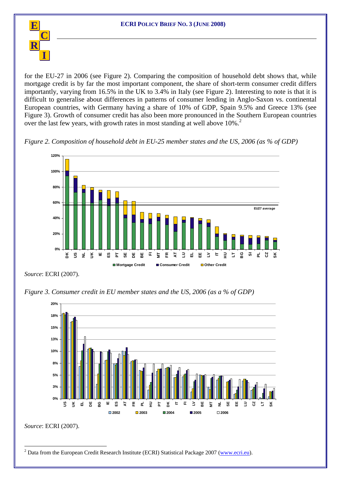

for the EU-27 in 2006 (see Figure 2). Comparing the composition of household debt shows that, while mortgage credit is by far the most important component, the share of short-term consumer credit differs importantly, varying from 16.5% in the UK to 3.4% in Italy (see Figure 2). Interesting to note is that it is difficult to generalise about differences in patterns of consumer lending in Anglo-Saxon vs. continental European countries, with Germany having a share of 10% of GDP, Spain 9.5% and Greece 13% (see Figure 3). Growth of consumer credit has also been more pronounced in the Southern European countries over the last few years, with growth rates in most standing at well above 10%.<sup>2</sup>

*Figure 2. Composition of household debt in EU-25 member states and the US, 2006 (as % of GDP)* 



*Source*: ECRI (2007).

*Figure 3. Consumer credit in EU member states and the US, 2006 (as a % of GDP)* 



*Source*: ECRI (2007).

 $\overline{a}$ <sup>2</sup> Data from the European Credit Research Institute (ECRI) Statistical Package 2007 (www.ecri.eu).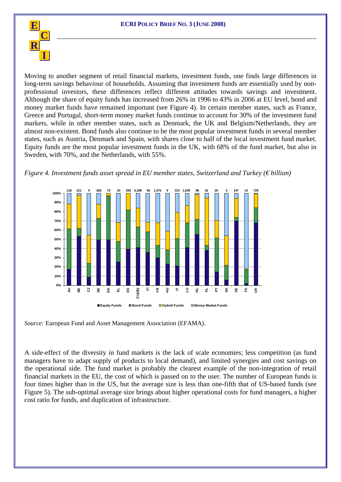

Moving to another segment of retail financial markets, investment funds, one finds large differences in long-term savings behaviour of households. Assuming that investment funds are essentially used by nonprofessional investors, these differences reflect different attitudes towards savings and investment. Although the share of equity funds has increased from 26% in 1996 to 43% in 2006 at EU level, bond and money market funds have remained important (see Figure 4). In certain member states, such as France, Greece and Portugal, short-term money market funds continue to account for 30% of the investment fund markets, while in other member states, such as Denmark, the UK and Belgium/Netherlands, they are almost non-existent. Bond funds also continue to be the most popular investment funds in several member states, such as Austria, Denmark and Spain, with shares close to half of the local investment fund market. Equity funds are the most popular investment funds in the UK, with 68% of the fund market, but also in Sweden, with 70%, and the Netherlands, with 55%.





*Source:* European Fund and Asset Management Association (EFAMA).

A side-effect of the diversity in fund markets is the lack of scale economies; less competition (as fund managers have to adapt supply of products to local demand), and limited synergies and cost savings on the operational side. The fund market is probably the clearest example of the non-integration of retail financial markets in the EU, the cost of which is passed on to the user. The number of European funds is four times higher than in the US, but the average size is less than one-fifth that of US-based funds (see Figure 5). The sub-optimal average size brings about higher operational costs for fund managers, a higher cost ratio for funds, and duplication of infrastructure.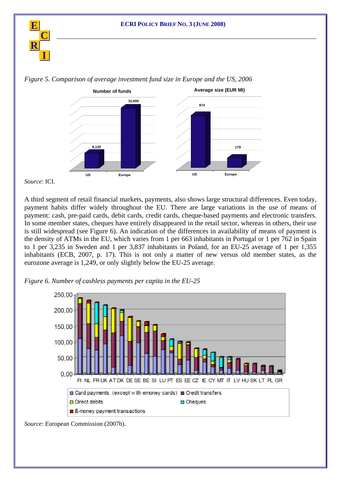



*Figure 5. Comparison of average investment fund size in Europe and the US, 2006* 

*Source*: ICI.

A third segment of retail financial markets, payments, also shows large structural differences. Even today, payment habits differ widely throughout the EU. There are large variations in the use of means of payment: cash, pre-paid cards, debit cards, credit cards, cheque-based payments and electronic transfers. In some member states, cheques have entirely disappeared in the retail sector, whereas in others, their use is still widespread (see Figure 6). An indication of the differences in availability of means of payment is the density of ATMs in the EU, which varies from 1 per 663 inhabitants in Portugal or 1 per 762 in Spain to 1 per 3,235 in Sweden and 1 per 3,837 inhabitants in Poland, for an EU-25 average of 1 per 1,355 inhabitants (ECB, 2007, p. 17). This is not only a matter of new versus old member states, as the eurozone average is 1,249, or only slightly below the EU-25 average.



*Figure 6. Number of cashless payments per capita in the EU-25* 

*Source*: European Commission (2007b).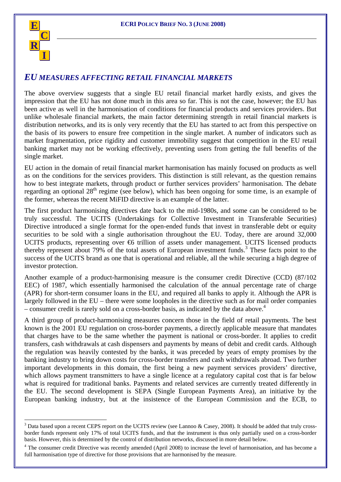

 $\overline{a}$ 

#### *EU MEASURES AFFECTING RETAIL FINANCIAL MARKETS*

The above overview suggests that a single EU retail financial market hardly exists, and gives the impression that the EU has not done much in this area so far. This is not the case, however; the EU has been active as well in the harmonisation of conditions for financial products and services providers. But unlike wholesale financial markets, the main factor determining strength in retail financial markets is distribution networks, and its is only very recently that the EU has started to act from this perspective on the basis of its powers to ensure free competition in the single market. A number of indicators such as market fragmentation, price rigidity and customer immobility suggest that competition in the EU retail banking market may not be working effectively, preventing users from getting the full benefits of the single market.

EU action in the domain of retail financial market harmonisation has mainly focused on products as well as on the conditions for the services providers. This distinction is still relevant, as the question remains how to best integrate markets, through product or further services providers' harmonisation. The debate regarding an optional 28<sup>th</sup> regime (see below), which has been ongoing for some time, is an example of the former, whereas the recent MiFID directive is an example of the latter.

The first product harmonising directives date back to the mid-1980s, and some can be considered to be truly successful. The UCITS (Undertakings for Collective Investment in Transferable Securities) Directive introduced a single format for the open-ended funds that invest in transferable debt or equity securities to be sold with a single authorisation throughout the EU. Today, there are around 32,000 UCITS products, representing over  $\Theta$  trillion of assets under management. UCITS licensed products thereby represent about 79% of the total assets of European investment funds.<sup>3</sup> These facts point to the success of the UCITS brand as one that is operational and reliable, all the while securing a high degree of investor protection.

Another example of a product-harmonising measure is the consumer credit Directive (CCD) (87/102 EEC) of 1987, which essentially harmonised the calculation of the annual percentage rate of charge (APR) for short-term consumer loans in the EU, and required all banks to apply it. Although the APR is largely followed in the EU – there were some loopholes in the directive such as for mail order companies – consumer credit is rarely sold on a cross-border basis, as indicated by the data above.<sup>4</sup>

A third group of product-harmonising measures concern those in the field of retail payments. The best known is the 2001 EU regulation on cross-border payments, a directly applicable measure that mandates that charges have to be the same whether the payment is national or cross-border. It applies to credit transfers, cash withdrawals at cash dispensers and payments by means of debit and credit cards. Although the regulation was heavily contested by the banks, it was preceded by years of empty promises by the banking industry to bring down costs for cross-border transfers and cash withdrawals abroad. Two further important developments in this domain, the first being a new payment services providers' directive, which allows payment transmitters to have a single licence at a regulatory capital cost that is far below what is required for traditional banks. Payments and related services are currently treated differently in the EU. The second development is SEPA (Single European Payments Area), an initiative by the European banking industry, but at the insistence of the European Commission and the ECB, to

 $3$  Data based upon a recent CEPS report on the UCITS review (see Lannoo & Casey, 2008). It should be added that truly crossborder funds represent only 17% of total UCITS funds, and that the instrument is thus only partially used on a cross-border basis. However, this is determined by the control of distribution networks, discussed in more detail below.

 $4$  The consumer credit Directive was recently amended (April 2008) to increase the level of harmonisation, and has become a full harmonisation type of directive for those provisions that are harmonised by the measure.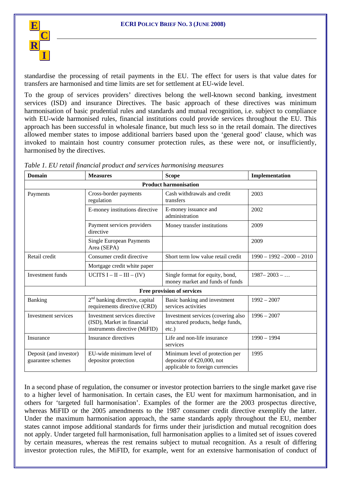

standardise the processing of retail payments in the EU. The effect for users is that value dates for transfers are harmonised and time limits are set for settlement at EU-wide level.

To the group of services providers' directives belong the well-known second banking, investment services (ISD) and insurance Directives. The basic approach of these directives was minimum harmonisation of basic prudential rules and standards and mutual recognition, i.e. subject to compliance with EU-wide harmonised rules, financial institutions could provide services throughout the EU. This approach has been successful in wholesale finance, but much less so in the retail domain. The directives allowed member states to impose additional barriers based upon the 'general good' clause, which was invoked to maintain host country consumer protection rules, as these were not, or insufficiently, harmonised by the directives.

| <b>Domain</b>                               | <b>Measures</b>                                                                              | <b>Scope</b>                                                                                           | Implementation              |  |  |  |
|---------------------------------------------|----------------------------------------------------------------------------------------------|--------------------------------------------------------------------------------------------------------|-----------------------------|--|--|--|
| <b>Product harmonisation</b>                |                                                                                              |                                                                                                        |                             |  |  |  |
| Payments                                    | Cross-border payments<br>regulation                                                          | Cash withdrawals and credit<br>transfers                                                               | 2003                        |  |  |  |
|                                             | E-money institutions directive                                                               | E-money issuance and<br>administration                                                                 | 2002                        |  |  |  |
|                                             | Payment services providers<br>directive                                                      | Money transfer institutions                                                                            | 2009                        |  |  |  |
|                                             | <b>Single European Payments</b><br>Area (SEPA)                                               |                                                                                                        | 2009                        |  |  |  |
| Retail credit                               | Consumer credit directive                                                                    | Short term low value retail credit                                                                     | $1990 - 1992 - 2000 - 2010$ |  |  |  |
|                                             | Mortgage credit white paper                                                                  |                                                                                                        |                             |  |  |  |
| Investment funds                            | UCITS $I - II - III - (IV)$                                                                  | Single format for equity, bond,<br>money market and funds of funds                                     | $1987 - 2003 - $            |  |  |  |
| Free provision of services                  |                                                                                              |                                                                                                        |                             |  |  |  |
| <b>Banking</b>                              | $2nd$ banking directive, capital<br>requirements directive (CRD)                             | Basic banking and investment<br>services activities                                                    | $1992 - 2007$               |  |  |  |
| Investment services                         | Investment services directive<br>(ISD), Market in financial<br>instruments directive (MiFID) | Investment services (covering also<br>structured products, hedge funds,<br>$etc.$ )                    | $1996 - 2007$               |  |  |  |
| Insurance                                   | Insurance directives                                                                         | Life and non-life insurance<br>services                                                                | $1990 - 1994$               |  |  |  |
| Deposit (and investor)<br>guarantee schemes | EU-wide minimum level of<br>depositor protection                                             | Minimum level of protection per<br>depositor of $\in 20,000$ , not<br>applicable to foreign currencies | 1995                        |  |  |  |

| Table 1. EU retail financial product and services harmonising measures |  |  |  |  |
|------------------------------------------------------------------------|--|--|--|--|
|------------------------------------------------------------------------|--|--|--|--|

In a second phase of regulation, the consumer or investor protection barriers to the single market gave rise to a higher level of harmonisation. In certain cases, the EU went for maximum harmonisation, and in others for 'targeted full harmonisation'. Examples of the former are the 2003 prospectus directive, whereas MiFID or the 2005 amendments to the 1987 consumer credit directive exemplify the latter. Under the maximum harmonisation approach, the same standards apply throughout the EU, member states cannot impose additional standards for firms under their jurisdiction and mutual recognition does not apply. Under targeted full harmonisation, full harmonisation applies to a limited set of issues covered by certain measures, whereas the rest remains subject to mutual recognition. As a result of differing investor protection rules, the MiFID, for example, went for an extensive harmonisation of conduct of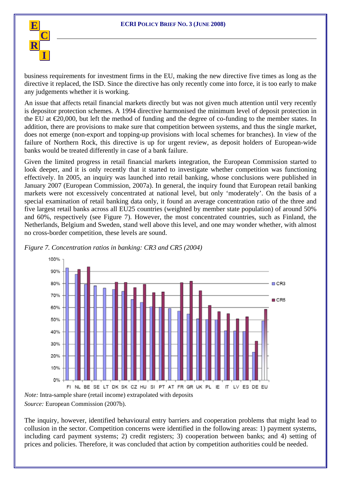

business requirements for investment firms in the EU, making the new directive five times as long as the directive it replaced, the ISD. Since the directive has only recently come into force, it is too early to make any judgements whether it is working.

An issue that affects retail financial markets directly but was not given much attention until very recently is depositor protection schemes. A 1994 directive harmonised the minimum level of deposit protection in the EU at €20,000, but left the method of funding and the degree of co-funding to the member states. In addition, there are provisions to make sure that competition between systems, and thus the single market, does not emerge (non-export and topping-up provisions with local schemes for branches). In view of the failure of Northern Rock, this directive is up for urgent review, as deposit holders of European-wide banks would be treated differently in case of a bank failure.

Given the limited progress in retail financial markets integration, the European Commission started to look deeper, and it is only recently that it started to investigate whether competition was functioning effectively. In 2005, an inquiry was launched into retail banking, whose conclusions were published in January 2007 (European Commission, 2007a). In general, the inquiry found that European retail banking markets were not excessively concentrated at national level, but only 'moderately'. On the basis of a special examination of retail banking data only, it found an average concentration ratio of the three and five largest retail banks across all EU25 countries (weighted by member state population) of around 50% and 60%, respectively (see Figure 7). However, the most concentrated countries, such as Finland, the Netherlands, Belgium and Sweden, stand well above this level, and one may wonder whether, with almost no cross-border competition, these levels are sound.



*Figure 7. Concentration ratios in banking: CR3 and CR5 (2004)*

*Note:* Intra-sample share (retail income) extrapolated with deposits *Source:* European Commission (2007b).

The inquiry, however, identified behavioural entry barriers and cooperation problems that might lead to collusion in the sector. Competition concerns were identified in the following areas: 1) payment systems, including card payment systems; 2) credit registers; 3) cooperation between banks; and 4) setting of prices and policies. Therefore, it was concluded that action by competition authorities could be needed.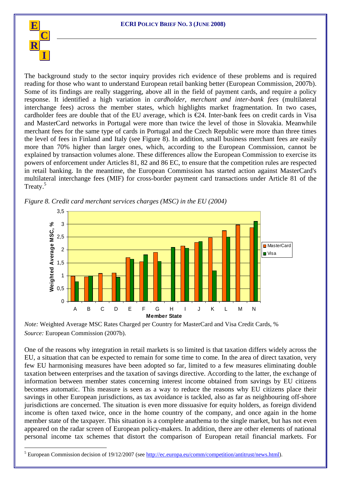

 $\overline{a}$ 

The background study to the sector inquiry provides rich evidence of these problems and is required reading for those who want to understand European retail banking better (European Commission, 2007b). Some of its findings are really staggering, above all in the field of payment cards, and require a policy response. It identified a high variation in *cardholder, merchant and inter-bank fees* (multilateral interchange fees) across the member states, which highlights market fragmentation. In two cases, cardholder fees are double that of the EU average, which is  $E_2$ 4. Inter-bank fees on credit cards in Visa and MasterCard networks in Portugal were more than twice the level of those in Slovakia. Meanwhile merchant fees for the same type of cards in Portugal and the Czech Republic were more than three times the level of fees in Finland and Italy (see Figure 8). In addition, small business merchant fees are easily more than 70% higher than larger ones, which, according to the European Commission, cannot be explained by transaction volumes alone. These differences allow the European Commission to exercise its powers of enforcement under Articles 81, 82 and 86 EC, to ensure that the competition rules are respected in retail banking. In the meantime, the European Commission has started action against MasterCard's multilateral interchange fees (MIF) for cross-border payment card transactions under Article 81 of the Treaty.5



*Figure 8. Credit card merchant services charges (MSC) in the EU (2004)* 

*Note:* Weighted Average MSC Rates Charged per Country for MasterCard and Visa Credit Cards, % *Source:* European Commission (2007b).

One of the reasons why integration in retail markets is so limited is that taxation differs widely across the EU, a situation that can be expected to remain for some time to come. In the area of direct taxation, very few EU harmonising measures have been adopted so far, limited to a few measures eliminating double taxation between enterprises and the taxation of savings directive. According to the latter, the exchange of information between member states concerning interest income obtained from savings by EU citizens becomes automatic. This measure is seen as a way to reduce the reasons why EU citizens place their savings in other European jurisdictions, as tax avoidance is tackled, also as far as neighbouring off-shore jurisdictions are concerned. The situation is even more dissuasive for equity holders, as foreign dividend income is often taxed twice, once in the home country of the company, and once again in the home member state of the taxpayer. This situation is a complete anathema to the single market, but has not even appeared on the radar screen of European policy-makers. In addition, there are other elements of national personal income tax schemes that distort the comparison of European retail financial markets. For

<sup>&</sup>lt;sup>5</sup> European Commission decision of 19/12/2007 (see  $\frac{http://ec.europa.eu/comm/competition/antitrust/news.html)}{http://ec.europa.eu/comm/competition/antitrust/news.html)}$ .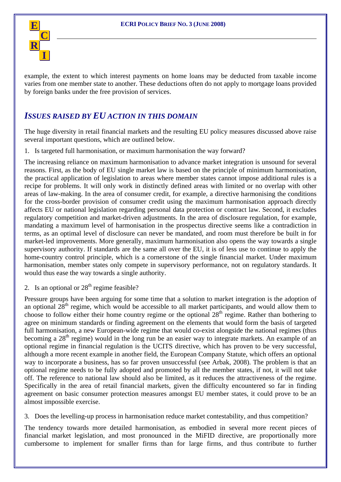

example, the extent to which interest payments on home loans may be deducted from taxable income varies from one member state to another. These deductions often do not apply to mortgage loans provided by foreign banks under the free provision of services.

#### *ISSUES RAISED BY EU ACTION IN THIS DOMAIN*

The huge diversity in retail financial markets and the resulting EU policy measures discussed above raise several important questions, which are outlined below.

1. Is targeted full harmonisation, or maximum harmonisation the way forward?

The increasing reliance on maximum harmonisation to advance market integration is unsound for several reasons. First, as the body of EU single market law is based on the principle of minimum harmonisation, the practical application of legislation to areas where member states cannot impose additional rules is a recipe for problems. It will only work in distinctly defined areas with limited or no overlap with other areas of law-making. In the area of consumer credit, for example, a directive harmonising the conditions for the cross-border provision of consumer credit using the maximum harmonisation approach directly affects EU or national legislation regarding personal data protection or contract law. Second, it excludes regulatory competition and market-driven adjustments. In the area of disclosure regulation, for example, mandating a maximum level of harmonisation in the prospectus directive seems like a contradiction in terms, as an optimal level of disclosure can never be mandated, and room must therefore be built in for market-led improvements. More generally, maximum harmonisation also opens the way towards a single supervisory authority. If standards are the same all over the EU, it is of less use to continue to apply the home-country control principle, which is a cornerstone of the single financial market. Under maximum harmonisation, member states only compete in supervisory performance, not on regulatory standards. It would thus ease the way towards a single authority.

2. Is an optional or  $28<sup>th</sup>$  regime feasible?

Pressure groups have been arguing for some time that a solution to market integration is the adoption of an optional 28th regime, which would be accessible to all market participants, and would allow them to choose to follow either their home country regime or the optional 28<sup>th</sup> regime. Rather than bothering to agree on minimum standards or finding agreement on the elements that would form the basis of targeted full harmonisation, a new European-wide regime that would co-exist alongside the national regimes (thus becoming a 28<sup>th</sup> regime) would in the long run be an easier way to integrate markets. An example of an optional regime in financial regulation is the UCITS directive, which has proven to be very successful, although a more recent example in another field, the European Company Statute, which offers an optional way to incorporate a business, has so far proven unsuccessful (see Arbak, 2008). The problem is that an optional regime needs to be fully adopted and promoted by all the member states, if not, it will not take off. The reference to national law should also be limited, as it reduces the attractiveness of the regime. Specifically in the area of retail financial markets, given the difficulty encountered so far in finding agreement on basic consumer protection measures amongst EU member states, it could prove to be an almost impossible exercise.

3. Does the levelling-up process in harmonisation reduce market contestability, and thus competition?

The tendency towards more detailed harmonisation, as embodied in several more recent pieces of financial market legislation, and most pronounced in the MiFID directive, are proportionally more cumbersome to implement for smaller firms than for large firms, and thus contribute to further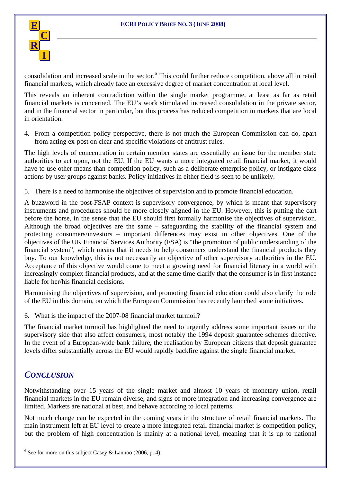

consolidation and increased scale in the sector. <sup>6</sup> This could further reduce competition, above all in retail financial markets, which already face an excessive degree of market concentration at local level.

This reveals an inherent contradiction within the single market programme, at least as far as retail financial markets is concerned. The EU's work stimulated increased consolidation in the private sector, and in the financial sector in particular, but this process has reduced competition in markets that are local in orientation.

4. From a competition policy perspective, there is not much the European Commission can do, apart from acting ex-post on clear and specific violations of antitrust rules.

The high levels of concentration in certain member states are essentially an issue for the member state authorities to act upon, not the EU. If the EU wants a more integrated retail financial market, it would have to use other means than competition policy, such as a deliberate enterprise policy, or instigate class actions by user groups against banks. Policy initiatives in either field is seen to be unlikely.

5. There is a need to harmonise the objectives of supervision and to promote financial education.

A buzzword in the post-FSAP context is supervisory convergence, by which is meant that supervisory instruments and procedures should be more closely aligned in the EU. However, this is putting the cart before the horse, in the sense that the EU should first formally harmonise the objectives of supervision. Although the broad objectives are the same – safeguarding the stability of the financial system and protecting consumers/investors – important differences may exist in other objectives. One of the objectives of the UK Financial Services Authority (FSA) is "the promotion of public understanding of the financial system", which means that it needs to help consumers understand the financial products they buy. To our knowledge, this is not necessarily an objective of other supervisory authorities in the EU. Acceptance of this objective would come to meet a growing need for financial literacy in a world with increasingly complex financial products, and at the same time clarify that the consumer is in first instance liable for her/his financial decisions.

Harmonising the objectives of supervision, and promoting financial education could also clarify the role of the EU in this domain, on which the European Commission has recently launched some initiatives.

6. What is the impact of the 2007-08 financial market turmoil?

The financial market turmoil has highlighted the need to urgently address some important issues on the supervisory side that also affect consumers, most notably the 1994 deposit guarantee schemes directive. In the event of a European-wide bank failure, the realisation by European citizens that deposit guarantee levels differ substantially across the EU would rapidly backfire against the single financial market.

#### *CONCLUSION*

 $\overline{a}$ 

Notwithstanding over 15 years of the single market and almost 10 years of monetary union, retail financial markets in the EU remain diverse, and signs of more integration and increasing convergence are limited. Markets are national at best, and behave according to local patterns.

Not much change can be expected in the coming years in the structure of retail financial markets. The main instrument left at EU level to create a more integrated retail financial market is competition policy, but the problem of high concentration is mainly at a national level, meaning that it is up to national

 $6$  See for more on this subject Casey & Lannoo (2006, p. 4).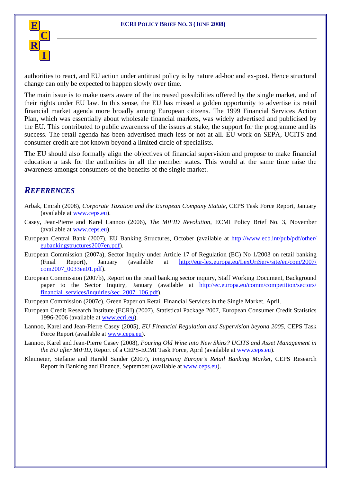

authorities to react, and EU action under antitrust policy is by nature ad-hoc and ex-post. Hence structural change can only be expected to happen slowly over time.

The main issue is to make users aware of the increased possibilities offered by the single market, and of their rights under EU law. In this sense, the EU has missed a golden opportunity to advertise its retail financial market agenda more broadly among European citizens. The 1999 Financial Services Action Plan, which was essentially about wholesale financial markets, was widely advertised and publicised by the EU. This contributed to public awareness of the issues at stake, the support for the programme and its success. The retail agenda has been advertised much less or not at all. EU work on SEPA, UCITS and consumer credit are not known beyond a limited circle of specialists.

The EU should also formally align the objectives of financial supervision and propose to make financial education a task for the authorities in all the member states. This would at the same time raise the awareness amongst consumers of the benefits of the single market.

#### *REFERENCES*

- Arbak, Emrah (2008), *Corporate Taxation and the European Company Statute*, CEPS Task Force Report, January (available at www.ceps.eu).
- Casey, Jean-Pierre and Karel Lannoo (2006), *The MiFID Revolution*, ECMI Policy Brief No. 3, November (available at www.ceps.eu).
- European Central Bank (2007), EU Banking Structures, October (available at http://www.ecb.int/pub/pdf/other/ eubankingstructures2007en.pdf).
- European Commission (2007a), Sector Inquiry under Article 17 of Regulation (EC) No 1/2003 on retail banking (Final Report), January (available at http://eur-lex.europa.eu/LexUriServ/site/en/com/2007/ com2007\_0033en01.pdf).
- European Commission (2007b), Report on the retail banking sector inquiry, Staff Working Document, Background paper to the Sector Inquiry, January (available at http://ec.europa.eu/comm/competition/sectors/ financial services/inquiries/sec 2007 106.pdf).
- European Commission (2007c), Green Paper on Retail Financial Services in the Single Market, April.
- European Credit Research Institute (ECRI) (2007), Statistical Package 2007, European Consumer Credit Statistics 1996-2006 (available at www.ecri.eu).
- Lannoo, Karel and Jean-Pierre Casey (2005), *EU Financial Regulation and Supervision beyond 2005*, CEPS Task Force Report (available at www.ceps.eu).
- Lannoo, Karel and Jean-Pierre Casey (2008), *Pouring Old Wine into New Skins? UCITS and Asset Management in the EU after MiFID,* Report of a CEPS-ECMI Task Force, April (available at www.ceps.eu).
- Kleimeier, Stefanie and Harald Sander (2007), *Integrating Europe's Retail Banking Market*, CEPS Research Report in Banking and Finance, September (available at www.ceps.eu).